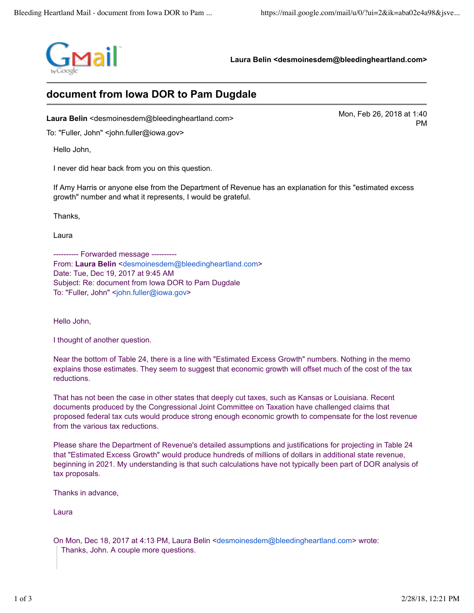

**Laura Belin <desmoinesdem@bleedingheartland.com>**

## **document from Iowa DOR to Pam Dugdale**

Mon, Feb 26, 2018 at 1:40<br>**Laura Belin** <desmoinesdem@bleedingheartland.com>

To: "Fuller, John" <john.fuller@iowa.gov>

Hello John,

I never did hear back from you on this question.

If Amy Harris or anyone else from the Department of Revenue has an explanation for this "estimated excess growth" number and what it represents, I would be grateful.

Thanks,

Laura

---------- Forwarded message ---------- From: Laura Belin <desmoinesdem@bleedingheartland.com> Date: Tue, Dec 19, 2017 at 9:45 AM Subject: Re: document from Iowa DOR to Pam Dugdale To: "Fuller, John" <john.fuller@iowa.gov>

Hello John,

I thought of another question.

Near the bottom of Table 24, there is a line with "Estimated Excess Growth" numbers. Nothing in the memo explains those estimates. They seem to suggest that economic growth will offset much of the cost of the tax reductions.

That has not been the case in other states that deeply cut taxes, such as Kansas or Louisiana. Recent documents produced by the Congressional Joint Committee on Taxation have challenged claims that proposed federal tax cuts would produce strong enough economic growth to compensate for the lost revenue from the various tax reductions.

Please share the Department of Revenue's detailed assumptions and justifications for projecting in Table 24 that "Estimated Excess Growth" would produce hundreds of millions of dollars in additional state revenue, beginning in 2021. My understanding is that such calculations have not typically been part of DOR analysis of tax proposals.

Thanks in advance,

Laura

On Mon, Dec 18, 2017 at 4:13 PM, Laura Belin <desmoinesdem@bleedingheartland.com> wrote: Thanks, John. A couple more questions.

PM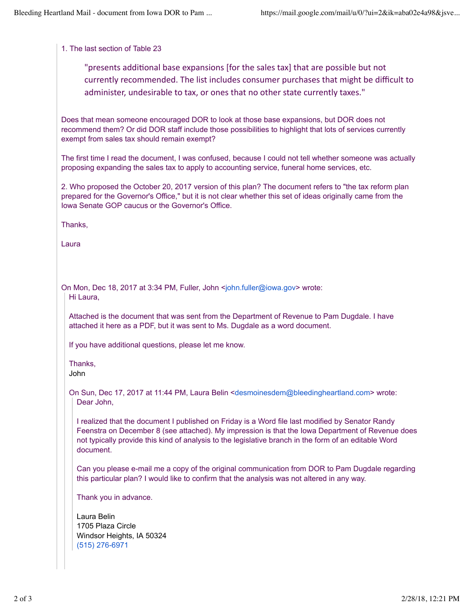## 1. The last section of Table 23

"presents additional base expansions [for the sales tax] that are possible but not currently recommended. The list includes consumer purchases that might be difficult to administer, undesirable to tax, or ones that no other state currently taxes."

Does that mean someone encouraged DOR to look at those base expansions, but DOR does not recommend them? Or did DOR staff include those possibilities to highlight that lots of services currently exempt from sales tax should remain exempt?

The first time I read the document, I was confused, because I could not tell whether someone was actually proposing expanding the sales tax to apply to accounting service, funeral home services, etc.

2. Who proposed the October 20, 2017 version of this plan? The document refers to "the tax reform plan prepared for the Governor's Office," but it is not clear whether this set of ideas originally came from the Iowa Senate GOP caucus or the Governor's Office.

Thanks,

Laura

On Mon, Dec 18, 2017 at 3:34 PM, Fuller, John <john.fuller@iowa.gov> wrote: Hi Laura,

Attached is the document that was sent from the Department of Revenue to Pam Dugdale. I have attached it here as a PDF, but it was sent to Ms. Dugdale as a word document.

If you have additional questions, please let me know.

Thanks, John

On Sun, Dec 17, 2017 at 11:44 PM, Laura Belin <desmoinesdem@bleedingheartland.com> wrote: Dear John,

I realized that the document I published on Friday is a Word file last modified by Senator Randy Feenstra on December 8 (see attached). My impression is that the Iowa Department of Revenue does not typically provide this kind of analysis to the legislative branch in the form of an editable Word document.

Can you please e-mail me a copy of the original communication from DOR to Pam Dugdale regarding this particular plan? I would like to confirm that the analysis was not altered in any way.

Thank you in advance.

Laura Belin 1705 Plaza Circle Windsor Heights, IA 50324 (515) 276-6971